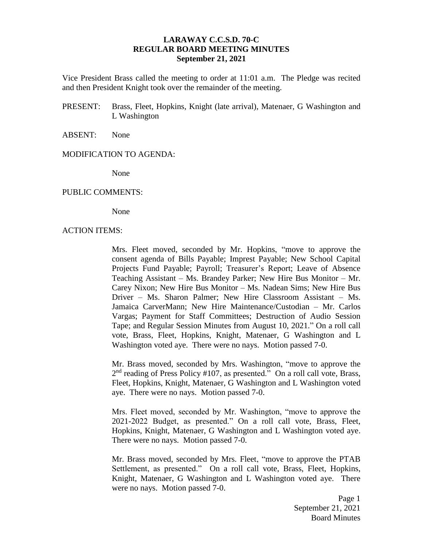# **LARAWAY C.C.S.D. 70-C REGULAR BOARD MEETING MINUTES September 21, 2021**

Vice President Brass called the meeting to order at 11:01 a.m. The Pledge was recited and then President Knight took over the remainder of the meeting.

PRESENT: Brass, Fleet, Hopkins, Knight (late arrival), Matenaer, G Washington and L Washington

### ABSENT: None

### MODIFICATION TO AGENDA:

None

#### PUBLIC COMMENTS:

None

#### ACTION ITEMS:

Mrs. Fleet moved, seconded by Mr. Hopkins, "move to approve the consent agenda of Bills Payable; Imprest Payable; New School Capital Projects Fund Payable; Payroll; Treasurer's Report; Leave of Absence Teaching Assistant – Ms. Brandey Parker; New Hire Bus Monitor – Mr. Carey Nixon; New Hire Bus Monitor – Ms. Nadean Sims; New Hire Bus Driver – Ms. Sharon Palmer; New Hire Classroom Assistant – Ms. Jamaica CarverMann; New Hire Maintenance/Custodian – Mr. Carlos Vargas; Payment for Staff Committees; Destruction of Audio Session Tape; and Regular Session Minutes from August 10, 2021." On a roll call vote, Brass, Fleet, Hopkins, Knight, Matenaer, G Washington and L Washington voted aye. There were no nays. Motion passed 7-0.

Mr. Brass moved, seconded by Mrs. Washington, "move to approve the 2<sup>nd</sup> reading of Press Policy #107, as presented." On a roll call vote, Brass, Fleet, Hopkins, Knight, Matenaer, G Washington and L Washington voted aye. There were no nays. Motion passed 7-0.

Mrs. Fleet moved, seconded by Mr. Washington, "move to approve the 2021-2022 Budget, as presented." On a roll call vote, Brass, Fleet, Hopkins, Knight, Matenaer, G Washington and L Washington voted aye. There were no nays. Motion passed 7-0.

Mr. Brass moved, seconded by Mrs. Fleet, "move to approve the PTAB Settlement, as presented." On a roll call vote, Brass, Fleet, Hopkins, Knight, Matenaer, G Washington and L Washington voted aye. There were no nays. Motion passed 7-0.

> Page 1 September 21, 2021 Board Minutes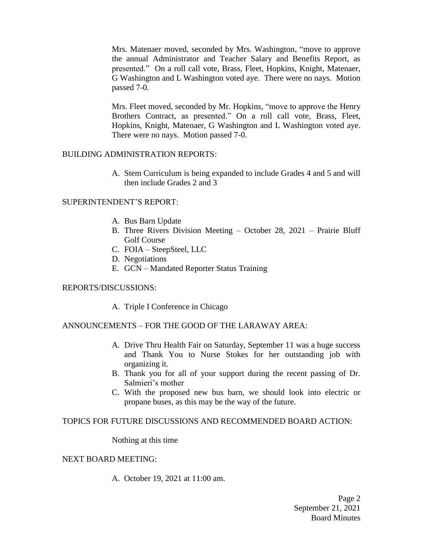Mrs. Matenaer moved, seconded by Mrs. Washington, "move to approve the annual Administrator and Teacher Salary and Benefits Report, as presented." On a roll call vote, Brass, Fleet, Hopkins, Knight, Matenaer, G Washington and L Washington voted aye. There were no nays. Motion passed 7-0.

Mrs. Fleet moved, seconded by Mr. Hopkins, "move to approve the Henry Brothers Contract, as presented." On a roll call vote, Brass, Fleet, Hopkins, Knight, Matenaer, G Washington and L Washington voted aye. There were no nays. Motion passed 7-0.

# BUILDING ADMINISTRATION REPORTS:

A. Stem Curriculum is being expanded to include Grades 4 and 5 and will then include Grades 2 and 3

# SUPERINTENDENT'S REPORT:

- A. Bus Barn Update
- B. Three Rivers Division Meeting October 28, 2021 Prairie Bluff Golf Course
- C. FOIA SteepSteel, LLC
- D. Negotiations
- E. GCN Mandated Reporter Status Training

## REPORTS/DISCUSSIONS:

A. Triple I Conference in Chicago

## ANNOUNCEMENTS – FOR THE GOOD OF THE LARAWAY AREA:

- A. Drive Thru Health Fair on Saturday, September 11 was a huge success and Thank You to Nurse Stokes for her outstanding job with organizing it.
- B. Thank you for all of your support during the recent passing of Dr. Salmieri's mother
- C. With the proposed new bus barn, we should look into electric or propane buses, as this may be the way of the future.

## TOPICS FOR FUTURE DISCUSSIONS AND RECOMMENDED BOARD ACTION:

Nothing at this time

## NEXT BOARD MEETING:

A. October 19, 2021 at 11:00 am.